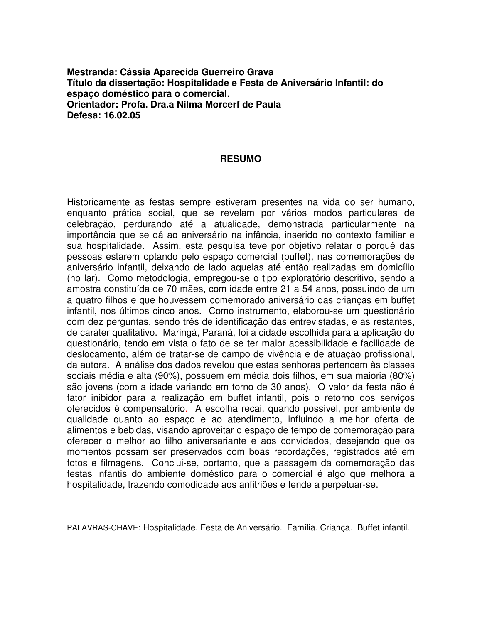**Mestranda: Cássia Aparecida Guerreiro Grava Título da dissertação: Hospitalidade e Festa de Aniversário Infantil: do espaço doméstico para o comercial. Orientador: Profa. Dra.a Nilma Morcerf de Paula Defesa: 16.02.05**

## **RESUMO**

Historicamente as festas sempre estiveram presentes na vida do ser humano, enquanto prática social, que se revelam por vários modos particulares de celebração, perdurando até a atualidade, demonstrada particularmente na importância que se dá ao aniversário na infância, inserido no contexto familiar e sua hospitalidade. Assim, esta pesquisa teve por objetivo relatar o porquê das pessoas estarem optando pelo espaço comercial (buffet), nas comemorações de aniversário infantil, deixando de lado aquelas até então realizadas em domicílio (no lar). Como metodologia, empregou-se o tipo exploratório descritivo, sendo a amostra constituída de 70 mães, com idade entre 21 a 54 anos, possuindo de um a quatro filhos e que houvessem comemorado aniversário das crianças em buffet infantil, nos últimos cinco anos. Como instrumento, elaborou-se um questionário com dez perguntas, sendo três de identificação das entrevistadas, e as restantes, de caráter qualitativo. Maringá, Paraná, foi a cidade escolhida para a aplicação do questionário, tendo em vista o fato de se ter maior acessibilidade e facilidade de deslocamento, além de tratar-se de campo de vivência e de atuação profissional, da autora. A análise dos dados revelou que estas senhoras pertencem às classes sociais média e alta (90%), possuem em média dois filhos, em sua maioria (80%) são jovens (com a idade variando em torno de 30 anos). O valor da festa não é fator inibidor para a realização em buffet infantil, pois o retorno dos serviços oferecidos é compensatório. A escolha recai, quando possível, por ambiente de qualidade quanto ao espaço e ao atendimento, influindo a melhor oferta de alimentos e bebidas, visando aproveitar o espaço de tempo de comemoração para oferecer o melhor ao filho aniversariante e aos convidados, desejando que os momentos possam ser preservados com boas recordações, registrados até em fotos e filmagens. Conclui-se, portanto, que a passagem da comemoração das festas infantis do ambiente doméstico para o comercial é algo que melhora a hospitalidade, trazendo comodidade aos anfitriões e tende a perpetuar-se.

PALAVRAS-CHAVE: Hospitalidade. Festa de Aniversário. Família. Criança. Buffet infantil.